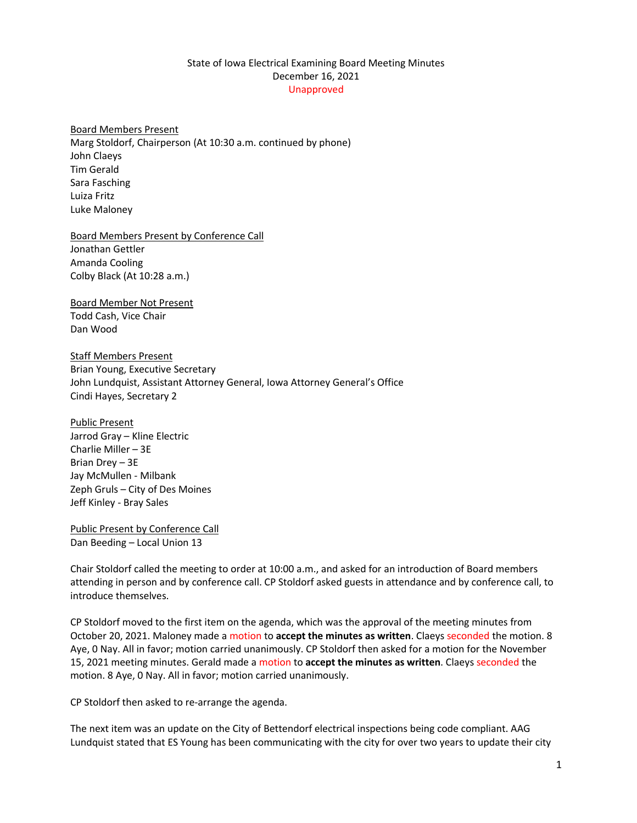## State of Iowa Electrical Examining Board Meeting Minutes December 16, 2021 Unapproved

Board Members Present Marg Stoldorf, Chairperson (At 10:30 a.m. continued by phone) John Claeys Tim Gerald Sara Fasching Luiza Fritz Luke Maloney

Board Members Present by Conference Call Jonathan Gettler Amanda Cooling Colby Black (At 10:28 a.m.)

Board Member Not Present Todd Cash, Vice Chair Dan Wood

Staff Members Present Brian Young, Executive Secretary John Lundquist, Assistant Attorney General, Iowa Attorney General's Office Cindi Hayes, Secretary 2

Public Present Jarrod Gray – Kline Electric Charlie Miller – 3E Brian Drey – 3E Jay McMullen - Milbank Zeph Gruls – City of Des Moines Jeff Kinley - Bray Sales

Public Present by Conference Call Dan Beeding – Local Union 13

Chair Stoldorf called the meeting to order at 10:00 a.m., and asked for an introduction of Board members attending in person and by conference call. CP Stoldorf asked guests in attendance and by conference call, to introduce themselves.

CP Stoldorf moved to the first item on the agenda, which was the approval of the meeting minutes from October 20, 2021. Maloney made a motion to **accept the minutes as written**. Claeys seconded the motion. 8 Aye, 0 Nay. All in favor; motion carried unanimously. CP Stoldorf then asked for a motion for the November 15, 2021 meeting minutes. Gerald made a motion to **accept the minutes as written**. Claeys seconded the motion. 8 Aye, 0 Nay. All in favor; motion carried unanimously.

CP Stoldorf then asked to re-arrange the agenda.

The next item was an update on the City of Bettendorf electrical inspections being code compliant. AAG Lundquist stated that ES Young has been communicating with the city for over two years to update their city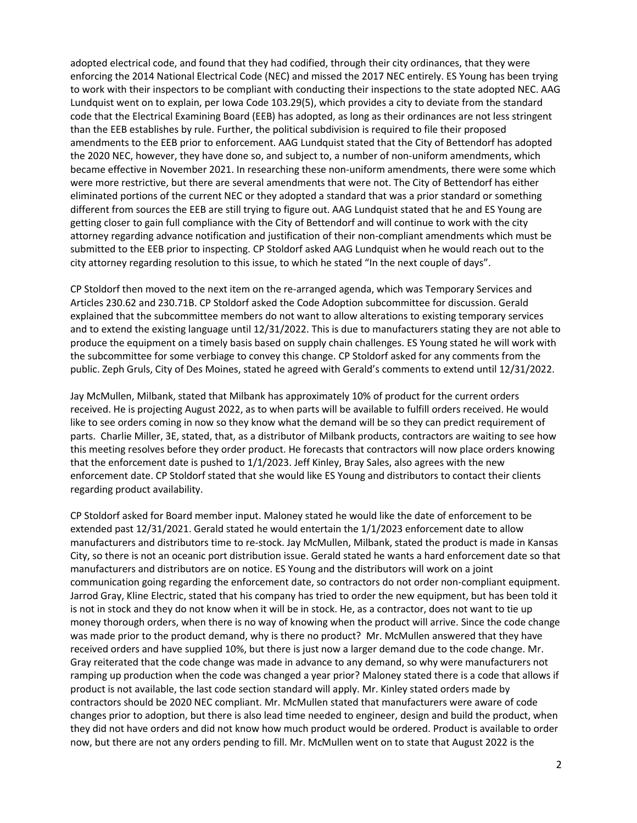adopted electrical code, and found that they had codified, through their city ordinances, that they were enforcing the 2014 National Electrical Code (NEC) and missed the 2017 NEC entirely. ES Young has been trying to work with their inspectors to be compliant with conducting their inspections to the state adopted NEC. AAG Lundquist went on to explain, per Iowa Code 103.29(5), which provides a city to deviate from the standard code that the Electrical Examining Board (EEB) has adopted, as long as their ordinances are not less stringent than the EEB establishes by rule. Further, the political subdivision is required to file their proposed amendments to the EEB prior to enforcement. AAG Lundquist stated that the City of Bettendorf has adopted the 2020 NEC, however, they have done so, and subject to, a number of non-uniform amendments, which became effective in November 2021. In researching these non-uniform amendments, there were some which were more restrictive, but there are several amendments that were not. The City of Bettendorf has either eliminated portions of the current NEC or they adopted a standard that was a prior standard or something different from sources the EEB are still trying to figure out. AAG Lundquist stated that he and ES Young are getting closer to gain full compliance with the City of Bettendorf and will continue to work with the city attorney regarding advance notification and justification of their non-compliant amendments which must be submitted to the EEB prior to inspecting. CP Stoldorf asked AAG Lundquist when he would reach out to the city attorney regarding resolution to this issue, to which he stated "In the next couple of days".

CP Stoldorf then moved to the next item on the re-arranged agenda, which was Temporary Services and Articles 230.62 and 230.71B. CP Stoldorf asked the Code Adoption subcommittee for discussion. Gerald explained that the subcommittee members do not want to allow alterations to existing temporary services and to extend the existing language until 12/31/2022. This is due to manufacturers stating they are not able to produce the equipment on a timely basis based on supply chain challenges. ES Young stated he will work with the subcommittee for some verbiage to convey this change. CP Stoldorf asked for any comments from the public. Zeph Gruls, City of Des Moines, stated he agreed with Gerald's comments to extend until 12/31/2022.

Jay McMullen, Milbank, stated that Milbank has approximately 10% of product for the current orders received. He is projecting August 2022, as to when parts will be available to fulfill orders received. He would like to see orders coming in now so they know what the demand will be so they can predict requirement of parts. Charlie Miller, 3E, stated, that, as a distributor of Milbank products, contractors are waiting to see how this meeting resolves before they order product. He forecasts that contractors will now place orders knowing that the enforcement date is pushed to 1/1/2023. Jeff Kinley, Bray Sales, also agrees with the new enforcement date. CP Stoldorf stated that she would like ES Young and distributors to contact their clients regarding product availability.

CP Stoldorf asked for Board member input. Maloney stated he would like the date of enforcement to be extended past 12/31/2021. Gerald stated he would entertain the 1/1/2023 enforcement date to allow manufacturers and distributors time to re-stock. Jay McMullen, Milbank, stated the product is made in Kansas City, so there is not an oceanic port distribution issue. Gerald stated he wants a hard enforcement date so that manufacturers and distributors are on notice. ES Young and the distributors will work on a joint communication going regarding the enforcement date, so contractors do not order non-compliant equipment. Jarrod Gray, Kline Electric, stated that his company has tried to order the new equipment, but has been told it is not in stock and they do not know when it will be in stock. He, as a contractor, does not want to tie up money thorough orders, when there is no way of knowing when the product will arrive. Since the code change was made prior to the product demand, why is there no product? Mr. McMullen answered that they have received orders and have supplied 10%, but there is just now a larger demand due to the code change. Mr. Gray reiterated that the code change was made in advance to any demand, so why were manufacturers not ramping up production when the code was changed a year prior? Maloney stated there is a code that allows if product is not available, the last code section standard will apply. Mr. Kinley stated orders made by contractors should be 2020 NEC compliant. Mr. McMullen stated that manufacturers were aware of code changes prior to adoption, but there is also lead time needed to engineer, design and build the product, when they did not have orders and did not know how much product would be ordered. Product is available to order now, but there are not any orders pending to fill. Mr. McMullen went on to state that August 2022 is the